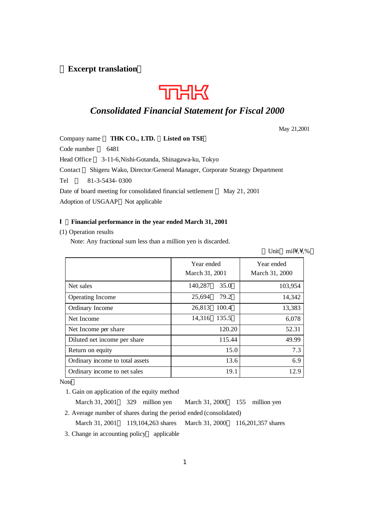## **Excerpt translation**



## *Consolidated Financial Statement for Fiscal 2000*

May 21,2001

Company name **THK CO., LTD. Listed on TSE** Code number 6481 Head Office 3-11-6,Nishi-Gotanda, Shinagawa-ku, Tokyo Contact Shigeru Wako, Director/General Manager, Corporate Strategy Department Tel 81-3-5434- 0300 Date of board meeting for consolidated financial settlement May 21, 2001 Adoption of USGAAP Not applicable

## Ⅰ.**Financial performance in the year ended March 31, 2001**

## (1) Operation results

Note: Any fractional sum less than a million yen is discarded.

Unit mil $\setminus$ , %

|                                 | Year ended<br>March 31, 2001 |        | Year ended<br>March 31, 2000 |
|---------------------------------|------------------------------|--------|------------------------------|
| Net sales                       | 140,287                      | 35.0   | 103,954                      |
| Operating Income                | 25,694                       | 79.2   | 14,342                       |
| Ordinary Income                 | 26,813                       | 100.4  | 13,383                       |
| Net Income                      | 14,316                       | 135.5  | 6,078                        |
| Net Income per share            |                              | 120.20 | 52.31                        |
| Diluted net income per share    |                              | 115.44 | 49.99                        |
| Return on equity                |                              | 15.0   | 7.3                          |
| Ordinary income to total assets |                              | 13.6   | 6.9                          |
| Ordinary income to net sales    |                              | 19.1   | 12.9                         |

Note

1. Gain on application of the equity method

March 31, 2001 329 million yen March 31, 2000 155 million yen

2. Average number of shares during the period ended (consolidated)

March 31, 2001 119,104,263 shares March 31, 2000 116,201,357 shares

3. Change in accounting policy applicable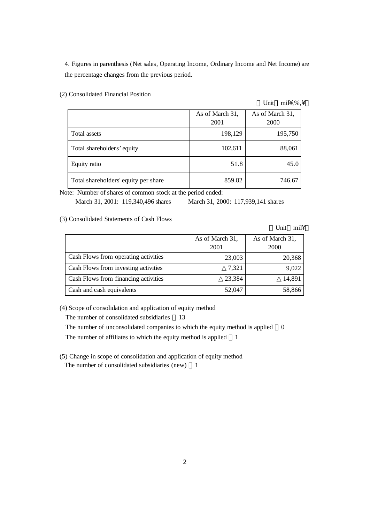4. Figures in parenthesis (Net sales, Operating Income, Ordinary Income and Net Income) are the percentage changes from the previous period.

(2) Consolidated Financial Position

#### Unit mil¥,%,¥

|                                      | As of March 31,<br>2001 | As of March 31,<br>2000 |
|--------------------------------------|-------------------------|-------------------------|
| Total assets                         | 198,129                 | 195,750                 |
| Total shareholders' equity           | 102,611                 | 88,061                  |
| Equity ratio                         | 51.8                    | 45.0                    |
| Total shareholders' equity per share | 859.82                  | 746.67                  |

Note: Number of shares of common stock at the period ended:

March 31, 2001: 119,340,496 shares March 31, 2000: 117,939,141 shares

(3) Consolidated Statements of Cash Flows

Unit mil

|                                      | As of March 31,<br>2001 | As of March 31,<br><b>2000</b> |
|--------------------------------------|-------------------------|--------------------------------|
| Cash Flows from operating activities | 23,003                  | 20,368                         |
| Cash Flows from investing activities | 7,321                   | 9,022                          |
| Cash Flows from financing activities | 23,384                  | 14,891                         |
| Cash and cash equivalents            | 52,047                  | 58,866                         |

(4) Scope of consolidation and application of equity method

The number of consolidated subsidiaries 13

The number of unconsolidated companies to which the equity method is applied 0

The number of affiliates to which the equity method is applied 1

(5) Change in scope of consolidation and application of equity method The number of consolidated subsidiaries (new) 1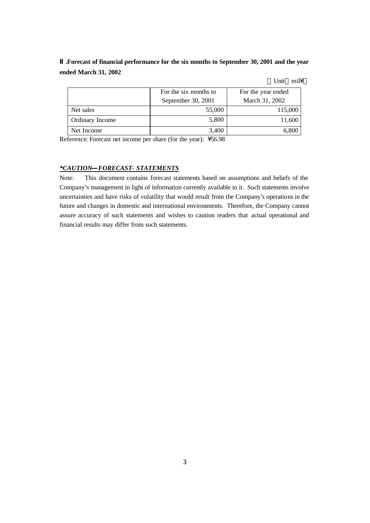**.Forecast of financial performance for the six months to September 30, 2001 and the year ended March 31, 2002**

Unit mil\

|                 | For the six months to<br>September 30, 2001 | For the year ended<br>March 31, 2002 |
|-----------------|---------------------------------------------|--------------------------------------|
| Net sales       | 55,000                                      | 115,000                              |
| Ordinary Income | 5,800                                       | 11,600                               |
| Net Income      | 3.400                                       |                                      |

Reference: Forecast net income per share (for the year):  $\sqrt{56.98}$ 

## *\*CAUTION FORECAST- STATEMENTS*

Note: This document contains forecast statements based on assumptions and beliefs of the Company's management in light of information currently available to it. Such statements involve uncertainties and have risks of volatility that would result from the Company's operations in the future and changes in domestic and international environments. Therefore, the Company cannot assure accuracy of such statements and wishes to caution readers that actual operational and financial results may differ from such statements.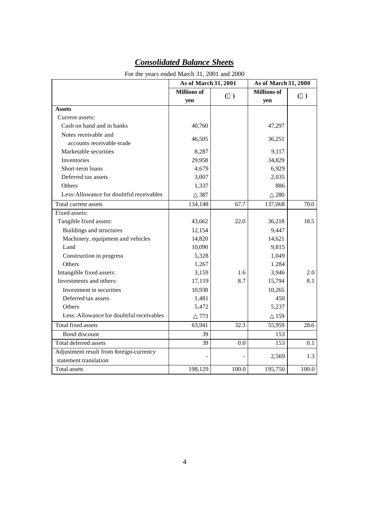| For the years ended March 31, 2001 and 2000 |                      |       |                      |       |
|---------------------------------------------|----------------------|-------|----------------------|-------|
|                                             | As of March 31, 2001 |       | As of March 31, 2000 |       |
|                                             | <b>Millions</b> of   | ( )   | <b>Millions</b> of   | ( )   |
|                                             | yen                  |       | yen                  |       |
| <b>Assets</b>                               |                      |       |                      |       |
| Current assets:                             |                      |       |                      |       |
| Cash on hand and in banks                   | 40,760               |       | 47,297               |       |
| Notes receivable and                        | 46,505               |       | 36,251               |       |
| accounts receivable-trade                   |                      |       |                      |       |
| Marketable securities                       | 8,287                |       | 9,117                |       |
| Inventories                                 | 29,958               |       | 34,829               |       |
| Short-term loans                            | 4,679                |       | 6,929                |       |
| Deferred tax assets                         | 3,007                |       | 2,035                |       |
| Others                                      | 1,337                |       | 886                  |       |
| Less: Allowance for doubtful receivables    | 387                  |       | 280                  |       |
| Total current assets                        | 134,148              | 67.7  | 137,068              | 70.0  |
| Fixed assets:                               |                      |       |                      |       |
| Tangible fixed assets:                      | 43,662               | 22.0  | 36,218               | 18.5  |
| Buildings and structures                    | 12,154               |       | 9,447                |       |
| Machinery, equipment and vehicles           | 14,820               |       | 14,621               |       |
| Land                                        | 10,090               |       | 9,815                |       |
| Construction in progress                    | 5,328                |       | 1,049                |       |
| Others                                      | 1,267                |       | 1.284                |       |
| Intangible fixed assets:                    | 3,159                | 1.6   | 3,946                | 2.0   |
| Investments and others:                     | 17,119               | 8.7   | 15,794               | 8.1   |
| Investment in securities                    | 10,938               |       | 10,265               |       |
| Deferred tax assets                         | 1,481                |       | 450                  |       |
| Others                                      | 5,472                |       | 5,237                |       |
| Less: Allowance for doubtful receivables    | 773                  |       | 159                  |       |
| Total fixed assets                          | 63,941               | 32.3  | 55,959               | 28.6  |
| Bond discount                               | 39                   |       | 153                  |       |
| Total deferred assets                       | 39                   | 0.0   | 153                  | 0.1   |
| Adjustment result from foreign-currency     |                      |       | 2,569                | 1.3   |
| statement translation                       |                      |       |                      |       |
| <b>Total assets</b>                         | 198,129              | 100.0 | 195,750              | 100.0 |

# *Consolidated Balance Sheets*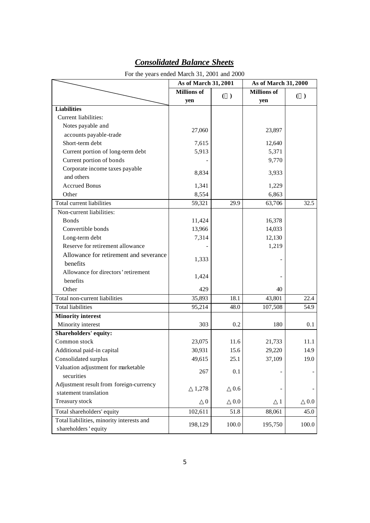| For the years ended March 31, 2001 and 2000                       |                      |       |                      |         |
|-------------------------------------------------------------------|----------------------|-------|----------------------|---------|
|                                                                   | As of March 31, 2001 |       | As of March 31, 2000 |         |
|                                                                   | <b>Millions</b> of   | ( )   | <b>Millions of</b>   | $(\ )$  |
|                                                                   | yen                  |       | yen                  |         |
| <b>Liabilities</b>                                                |                      |       |                      |         |
| Current liabilities:                                              |                      |       |                      |         |
| Notes payable and                                                 | 27,060               |       | 23,897               |         |
| accounts payable-trade                                            |                      |       |                      |         |
| Short-term debt                                                   | 7,615                |       | 12,640               |         |
| Current portion of long-term debt                                 | 5,913                |       | 5,371                |         |
| Current portion of bonds                                          |                      |       | 9,770                |         |
| Corporate income taxes payable                                    |                      |       |                      |         |
| and others                                                        | 8,834                |       | 3,933                |         |
| <b>Accrued Bonus</b>                                              | 1,341                |       | 1,229                |         |
| Other                                                             | 8,554                |       | 6,863                |         |
| Total current liabilities                                         | 59,321               | 29.9  | 63,706               | 32.5    |
| Non-current liabilities:                                          |                      |       |                      |         |
| <b>Bonds</b>                                                      | 11,424               |       | 16,378               |         |
| Convertible bonds                                                 | 13,966               |       | 14,033               |         |
| Long-term debt                                                    | 7,314                |       | 12,130               |         |
| Reserve for retirement allowance                                  |                      |       | 1,219                |         |
| Allowance for retirement and severance                            |                      |       |                      |         |
| benefits                                                          | 1,333                |       |                      |         |
| Allowance for directors' retirement                               |                      |       |                      |         |
| benefits                                                          | 1,424                |       |                      |         |
| Other                                                             | 429                  |       | 40                   |         |
| Total non-current liabilities                                     | 35,893               | 18.1  | 43,801               | 22.4    |
| <b>Total liabilities</b>                                          | 95,214               | 48.0  | 107,508              | 54.9    |
| <b>Minority interest</b>                                          |                      |       |                      |         |
| Minority interest                                                 | 303                  | 0.2   | 180                  | 0.1     |
| Shareholders' equity:                                             |                      |       |                      |         |
| Common stock                                                      | 23,075               | 11.6  | 21,733               | 11.1    |
| Additional paid-in capital                                        | 30,931               | 15.6  | 29,220               | 14.9    |
| Consolidated surplus                                              | 49,615               | 25.1  | 37,109               | 19.0    |
| Valuation adjustment for marketable                               | 267                  | 0.1   |                      |         |
| securities                                                        |                      |       |                      |         |
| Adjustment result from foreign-currency                           |                      | 0.6   |                      |         |
| statement translation                                             | 1,278                |       |                      |         |
| Treasury stock                                                    | $\theta$             | 0.0   | 1                    | $0.0\,$ |
| Total shareholders' equity                                        | 102,611              | 51.8  | 88,061               | 45.0    |
| Total liabilities, minority interests and<br>shareholders' equity | 198,129              | 100.0 | 195,750              | 100.0   |

# *Consolidated Balance Sheets*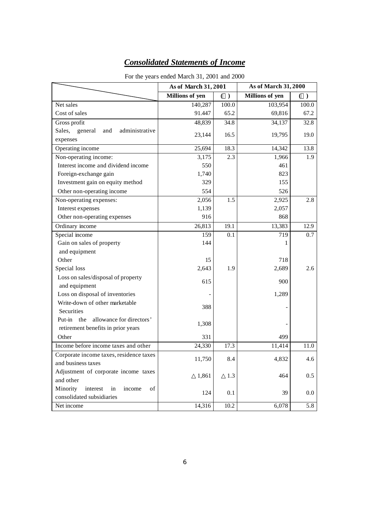## *Consolidated Statements of Income*

|                                            | As of March 31, 2001   |           | As of March 31, 2000   |         |
|--------------------------------------------|------------------------|-----------|------------------------|---------|
|                                            | <b>Millions of yen</b> | $\lambda$ | <b>Millions of yen</b> | $($ )   |
| Net sales                                  | 140,287                | 100.0     | 103,954                | 100.0   |
| Cost of sales                              | 91.447                 | 65.2      | 69,816                 | 67.2    |
| Gross profit                               | 48,839                 | 34.8      | 34,137                 | 32.8    |
| Sales, general<br>administrative<br>and    | 23,144                 | 16.5      | 19,795                 | 19.0    |
| expenses                                   |                        |           |                        |         |
| Operating income                           | 25,694                 | 18.3      | 14,342                 | 13.8    |
| Non-operating income:                      | 3,175                  | 2.3       | 1,966                  | 1.9     |
| Interest income and dividend income        | 550                    |           | 461                    |         |
| Foreign-exchange gain                      | 1,740                  |           | 823                    |         |
| Investment gain on equity method           | 329                    |           | 155                    |         |
| Other non-operating income                 | 554                    |           | 526                    |         |
| Non-operating expenses:                    | 2,056                  | 1.5       | 2,925                  | 2.8     |
| Interest expenses                          | 1,139                  |           | 2,057                  |         |
| Other non-operating expenses               | 916                    |           | 868                    |         |
| Ordinary income                            | 26,813                 | 19.1      | 13,383                 | 12.9    |
| Special income                             | 159                    | 0.1       | 719                    | 0.7     |
| Gain on sales of property                  | 144                    |           |                        |         |
| and equipment                              |                        |           |                        |         |
| Other                                      | 15                     |           | 718                    |         |
| Special loss                               | 2,643                  | 1.9       | 2,689                  | 2.6     |
| Loss on sales/disposal of property         | 615                    |           | 900                    |         |
| and equipment                              |                        |           |                        |         |
| Loss on disposal of inventories            |                        |           | 1,289                  |         |
| Write-down of other marketable             | 388                    |           |                        |         |
| Securities                                 |                        |           |                        |         |
| Put-in the<br>allowance for directors'     | 1,308                  |           |                        |         |
| retirement benefits in prior years         |                        |           |                        |         |
| Other                                      | 331                    |           | 499                    |         |
| Income before income taxes and other       | 24,330                 | 17.3      | 11,414                 | 11.0    |
| Corporate income taxes, residence taxes    | 11,750                 | 8.4       | 4,832                  | 4.6     |
| and business taxes                         |                        |           |                        |         |
| Adjustment of corporate income taxes       | 1,861                  | 1.3       | 464                    | 0.5     |
| and other                                  |                        |           |                        |         |
| Minority<br>interest<br>of<br>in<br>income | 124                    | 0.1       | 39                     | $0.0\,$ |
| consolidated subsidiaries                  |                        |           |                        |         |
| Net income                                 | 14,316                 | 10.2      | 6,078                  | 5.8     |

## For the years ended March 31, 2001 and 2000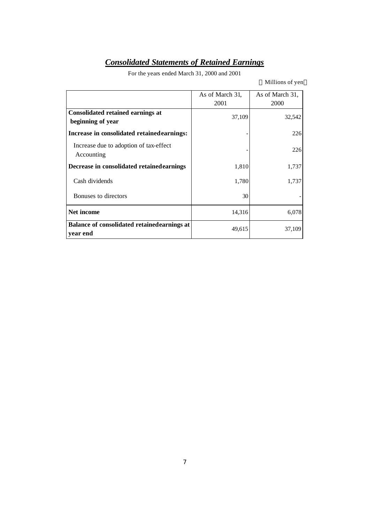# *Consolidated Statements of Retained Earnings*

For the years ended March 31, 2000 and 2001

Millions of yen

|                                                               | As of March 31,<br>2001 | As of March 31,<br>2000 |
|---------------------------------------------------------------|-------------------------|-------------------------|
| <b>Consolidated retained earnings at</b><br>beginning of year | 37,109                  | 32,542                  |
| Increase in consolidated retained earnings:                   |                         | 226                     |
| Increase due to adoption of tax-effect<br>Accounting          |                         | 226                     |
| Decrease in consolidated retained earnings                    | 1,810                   | 1,737                   |
| Cash dividends                                                | 1,780                   | 1,737                   |
| Bonuses to directors                                          | 30                      |                         |
| Net income                                                    | 14,316                  | 6,078                   |
| Balance of consolidated retained earnings at<br>year end      | 49,615                  | 37,109                  |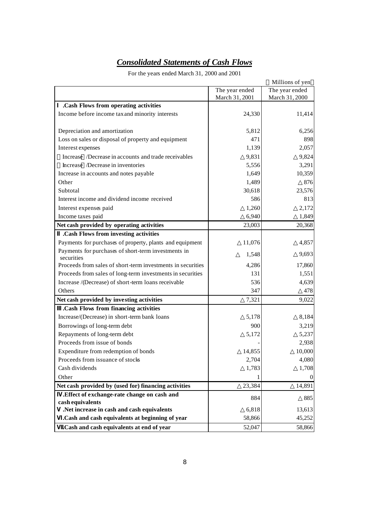# *Consolidated Statements of Cash Flows*

For the years ended March 31, 2000 and 2001

|                                                                   |                | Millions of yen |
|-------------------------------------------------------------------|----------------|-----------------|
|                                                                   | The year ended | The year ended  |
|                                                                   | March 31, 2001 | March 31, 2000  |
| .Cash Flows from operating activities                             |                |                 |
| Income before income tax and minority interests                   | 24,330         | 11,414          |
|                                                                   |                |                 |
| Depreciation and amortization                                     | 5,812          | 6,256           |
| Loss on sales or disposal of property and equipment               | 471            | 898             |
| Interest expenses                                                 | 1,139          | 2,057           |
| Increase /Decrease in accounts and trade receivables              | 9,831          | 9,824           |
| Increase /Decrease in inventories                                 | 5,556          | 3,291           |
| Increase in accounts and notes payable                            | 1,649          | 10,359          |
| Other                                                             | 1,489          | 876             |
| Subtotal                                                          | 30,618         | 23,576          |
| Interest income and dividend income received                      | 586            | 813             |
| Interest expenses paid                                            | 1,260          | 2,172           |
| Income taxes paid                                                 | 6,940          | 1,849           |
| Net cash provided by operating activities                         | 23,003         | 20,368          |
| .Cash Flows from investing activities                             |                |                 |
| Payments for purchases of property, plants and equipment          | 11,076         | 4,857           |
| Payments for purchases of short-term investments in<br>securities | 1,548          | 9,693           |
| Proceeds from sales of short-term investments in securities       | 4,286          | 17,860          |
| Proceeds from sales of long-term investments in securities        | 131            | 1,551           |
| Increase /(Decrease) of short-term loans receivable               | 536            | 4,639           |
| Others                                                            | 347            | 478             |
| Net cash provided by investing activities                         | 7,321          | 9,022           |
| .Cash Flows from financing activities                             |                |                 |
| Increase/(Decrease) in short-term bank loans                      | 5,178          | 8,184           |
| Borrowings of long-term debt                                      | 900            | 3,219           |
| Repayments of long-term debt                                      | 5,172          | 5,237           |
| Proceeds from issue of bonds                                      |                | 2,938           |
| Expenditure from redemption of bonds                              | 14,855         | 10,000          |
| Proceeds from issuance of stocks                                  | 2,704          | 4,080           |
| Cash dividends                                                    | 1,783          | 1,708           |
| Other                                                             |                | $\mathbf{0}$    |
| Net cash provided by (used for) financing activities              | 23,384         | 14,891          |
| .Effect of exchange-rate change on cash and                       | 884            | 885             |
| cash equivalents                                                  |                |                 |
| .Net increase in cash and cash equivalents                        | 6,818          | 13,613          |
| .Cash and cash equivalents at beginning of year                   | 58,866         | 45,252          |
| .Cash and cash equivalents at end of year                         | 52,047         | 58,866          |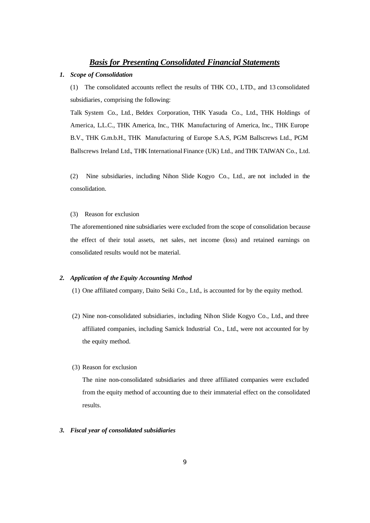## *Basis for Presenting Consolidated Financial Statements*

### *1. Scope of Consolidation*

(1) The consolidated accounts reflect the results of THK CO., LTD., and 13 consolidated subsidiaries, comprising the following:

Talk System Co., Ltd., Beldex Corporation, THK Yasuda Co., Ltd., THK Holdings of America, L.L.C., THK America, Inc., THK Manufacturing of America, Inc., THK Europe B.V., THK G.m.b.H., THK Manufacturing of Europe S.A.S, PGM Ballscrews Ltd., PGM Ballscrews Ireland Ltd., THK International Finance (UK) Ltd., and THK TAIWAN Co., Ltd.

(2) Nine subsidiaries, including Nihon Slide Kogyo Co., Ltd., are not included in the consolidation.

#### (3) Reason for exclusion

The aforementioned nine subsidiaries were excluded from the scope of consolidation because the effect of their total assets, net sales, net income (loss) and retained earnings on consolidated results would not be material.

#### *2. Application of the Equity Accounting Method*

- (1) One affiliated company, Daito Seiki Co., Ltd., is accounted for by the equity method.
- (2) Nine non-consolidated subsidiaries, including Nihon Slide Kogyo Co., Ltd., and three affiliated companies, including Samick Industrial Co., Ltd., were not accounted for by the equity method.
- (3) Reason for exclusion

The nine non-consolidated subsidiaries and three affiliated companies were excluded from the equity method of accounting due to their immaterial effect on the consolidated results.

### *3. Fiscal year of consolidated subsidiaries*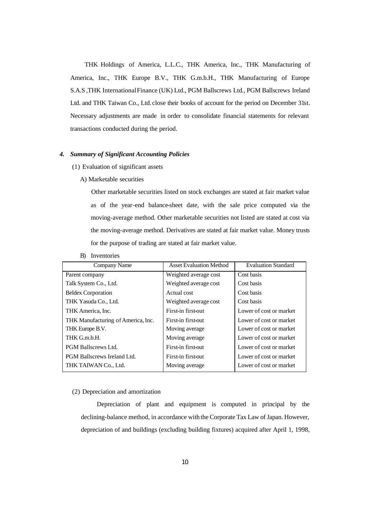THK Holdings of America, L.L.C., THK America, Inc., THK Manufacturing of America, Inc., THK Europe B.V., THK G.m.b.H., THK Manufacturing of Europe S.A.S ,THK International Finance (UK) Ltd., PGM Ballscrews Ltd., PGM Ballscrews Ireland Ltd. and THK Taiwan Co., Ltd. close their books of account for the period on December 31st. Necessary adjustments are made in order to consolidate financial statements for relevant transactions conducted during the period.

### *4. Summary of Significant Accounting Policies*

- (1) Evaluation of significant assets
	- A) Marketable securities

Other marketable securities listed on stock exchanges are stated at fair market value as of the year-end balance-sheet date, with the sale price computed via the moving-average method. Other marketable securities not listed are stated at cost via the moving-average method. Derivatives are stated at fair market value. Money trusts for the purpose of trading are stated at fair market value.

| Company Name                       | <b>Asset Evaluation Method</b> | <b>Evaluation Standard</b> |
|------------------------------------|--------------------------------|----------------------------|
| Parent company                     | Weighted average cost          | Cost basis                 |
| Talk System Co., Ltd.              | Weighted average cost          | Cost basis                 |
| <b>Beldex Corporation</b>          | Actual cost                    | Cost basis                 |
| THK Yasuda Co., Ltd.               | Weighted average cost          | Cost basis                 |
| THK America, Inc.                  | First-in first-out             | Lower of cost or market    |
| THK Manufacturing of America, Inc. | First-in first-out             | Lower of cost or market    |
| THK Europe B.V.                    | Moving average                 | Lower of cost or market    |
| THK G.m.b.H.                       | Moving average                 | Lower of cost or market    |
| <b>PGM Ballscrews Ltd.</b>         | First-in first-out             | Lower of cost or market    |
| <b>PGM Ballscrews Ireland Ltd.</b> | First-in first-out             | Lower of cost or market    |
| THK TAIWAN Co., Ltd.               | Moving average                 | Lower of cost or market    |

B) Inventories

#### (2) Depreciation and amortization

Depreciation of plant and equipment is computed in principal by the declining-balance method, in accordance with the Corporate Tax Law of Japan. However, depreciation of and buildings (excluding building fixtures) acquired after April 1, 1998,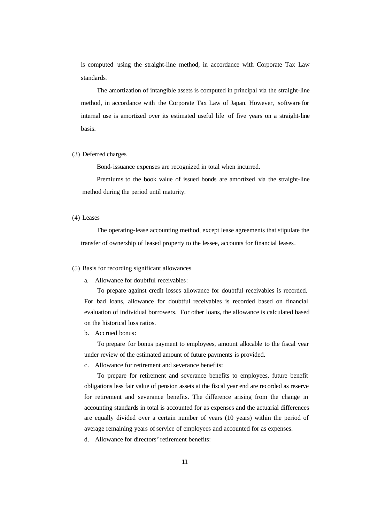is computed using the straight-line method, in accordance with Corporate Tax Law standards.

The amortization of intangible assets is computed in principal via the straight-line method, in accordance with the Corporate Tax Law of Japan. However, software for internal use is amortized over its estimated useful life of five years on a straight-line basis.

#### (3) Deferred charges

Bond-issuance expenses are recognized in total when incurred.

Premiums to the book value of issued bonds are amortized via the straight-line method during the period until maturity.

#### (4) Leases

The operating-lease accounting method, except lease agreements that stipulate the transfer of ownership of leased property to the lessee, accounts for financial leases.

#### (5) Basis for recording significant allowances

a. Allowance for doubtful receivables:

To prepare against credit losses allowance for doubtful receivables is recorded. For bad loans, allowance for doubtful receivables is recorded based on financial evaluation of individual borrowers. For other loans, the allowance is calculated based on the historical loss ratios.

b. Accrued bonus:

To prepare for bonus payment to employees, amount allocable to the fiscal year under review of the estimated amount of future payments is provided.

c. Allowance for retirement and severance benefits:

To prepare for retirement and severance benefits to employees, future benefit obligations less fair value of pension assets at the fiscal year end are recorded as reserve for retirement and severance benefits. The difference arising from the change in accounting standards in total is accounted for as expenses and the actuarial differences are equally divided over a certain number of years (10 years) within the period of average remaining years of service of employees and accounted for as expenses.

d. Allowance for directors' retirement benefits: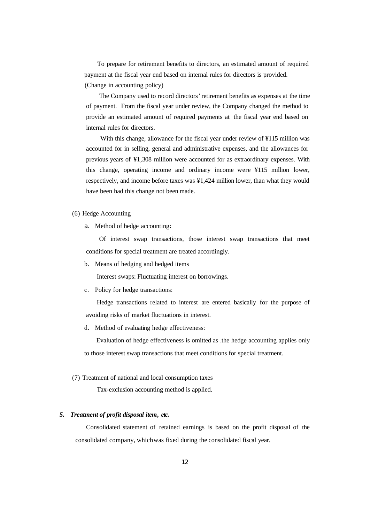To prepare for retirement benefits to directors, an estimated amount of required payment at the fiscal year end based on internal rules for directors is provided. (Change in accounting policy)

The Company used to record directors' retirement benefits as expenses at the time of payment. From the fiscal year under review, the Company changed the method to provide an estimated amount of required payments at the fiscal year end based on internal rules for directors.

 With this change, allowance for the fiscal year under review of ¥115 million was accounted for in selling, general and administrative expenses, and the allowances for previous years of ¥1,308 million were accounted for as extraordinary expenses. With this change, operating income and ordinary income were ¥115 million lower, respectively, and income before taxes was ¥1,424 million lower, than what they would have been had this change not been made.

### (6) Hedge Accounting

a. Method of hedge accounting:

Of interest swap transactions, those interest swap transactions that meet conditions for special treatment are treated accordingly.

b. Means of hedging and hedged items

Interest swaps: Fluctuating interest on borrowings.

c. Policy for hedge transactions:

Hedge transactions related to interest are entered basically for the purpose of avoiding risks of market fluctuations in interest.

d. Method of evaluating hedge effectiveness:

Evaluation of hedge effectiveness is omitted as .the hedge accounting applies only to those interest swap transactions that meet conditions for special treatment.

(7) Treatment of national and local consumption taxes

Tax-exclusion accounting method is applied.

#### *5. Treatment of profit disposal item, etc.*

Consolidated statement of retained earnings is based on the profit disposal of the consolidated company, whichwas fixed during the consolidated fiscal year.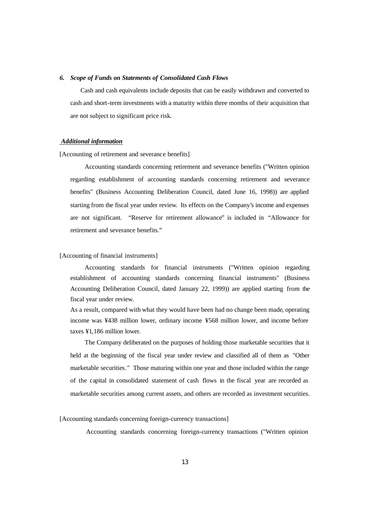#### *6. Scope of Funds on Statements of Consolidated Cash Flows*

Cash and cash equivalents include deposits that can be easily withdrawn and converted to cash and short-term investments with a maturity within three months of their acquisition that are not subject to significant price risk.

#### *Additional information*

[Accounting of retirement and severance benefits]

Accounting standards concerning retirement and severance benefits ("Written opinion regarding establishment of accounting standards concerning retirement and severance benefits" (Business Accounting Deliberation Council, dated June 16, 1998)) are applied starting from the fiscal year under review. Its effects on the Company's income and expenses are not significant. "Reserve for retirement allowance" is included in "Allowance for retirement and severance benefits."

#### [Accounting of financial instruments]

Accounting standards for financial instruments ("Written opinion regarding establishment of accounting standards concerning financial instruments" (Business Accounting Deliberation Council, dated January 22, 1999)) are applied starting from the fiscal year under review.

As a result, compared with what they would have been had no change been made, operating income was ¥438 million lower, ordinary income ¥568 million lower, and income before taxes ¥1,186 million lower.

The Company deliberated on the purposes of holding those marketable securities that it held at the beginning of the fiscal year under review and classified all of them as "Other marketable securities." Those maturing within one year and those included within the range of the capital in consolidated statement of cash flows in the fiscal year are recorded as marketable securities among current assets, and others are recorded as investment securities.

[Accounting standards concerning foreign-currency transactions]

Accounting standards concerning foreign-currency transactions ("Written opinion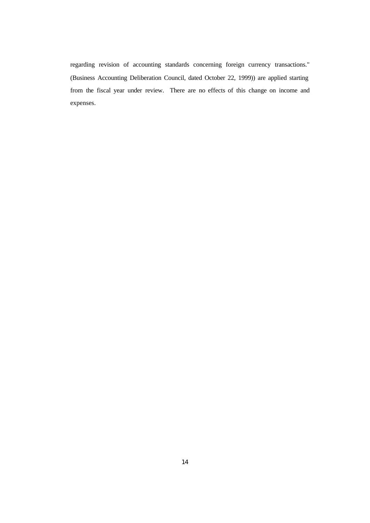regarding revision of accounting standards concerning foreign currency transactions." (Business Accounting Deliberation Council, dated October 22, 1999)) are applied starting from the fiscal year under review. There are no effects of this change on income and expenses.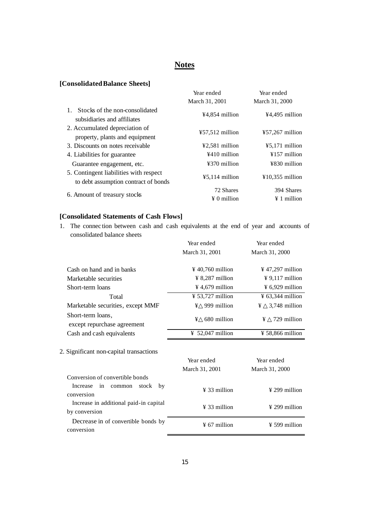# **Notes**

## **[Consolidated Balance Sheets]**

|                                                                                | Year ended                      | Year ended                       |
|--------------------------------------------------------------------------------|---------------------------------|----------------------------------|
|                                                                                | March 31, 2001                  | March 31, 2000                   |
| Stocks of the non-consolidated<br>subsidiaries and affiliates                  | ¥4,854 million                  | ¥4,495 million                   |
| 2. Accumulated depreciation of<br>property, plants and equipment               | $457,512$ million               | $\text{\#}57,267$ million        |
| 3. Discounts on notes receivable                                               | ¥2,581 million                  | $45,171$ million                 |
| 4. Liabilities for guarantee                                                   | ¥410 million                    | $¥157$ million                   |
| Guarantee engagement, etc.                                                     | ¥370 million                    | ¥830 million                     |
| 5. Contingent liabilities with respect<br>to debt assumption contract of bonds | $45,114$ million                | $¥10,355$ million                |
| 6. Amount of treasury stocks                                                   | 72 Shares<br>$\angle 0$ million | 394 Shares<br>$\angle 1$ million |

## **[Consolidated Statements of Cash Flows]**

1. The connec tion between cash and cash equivalents at the end of year and accounts of consolidated balance sheets

|                                                         | Year ended                   | Year ended                   |  |
|---------------------------------------------------------|------------------------------|------------------------------|--|
|                                                         | March 31, 2001               | March 31, 2000               |  |
| Cash on hand and in banks                               | $\frac{1}{2}$ 40,760 million | $\frac{1}{2}$ 47,297 million |  |
| Marketable securities                                   | ¥ 8,287 million              | $\frac{1}{2}$ 9,117 million  |  |
| Short-term loans                                        | ¥ 4,679 million              | $\frac{1}{2}$ 6,929 million  |  |
| Total                                                   | $\frac{1}{2}$ 53,727 million | $\frac{1}{2}$ 63,344 million |  |
| Marketable securities, except MMF                       | 999 million<br>¥             | 3,748 million<br>¥           |  |
| Short-term loans,<br>except repurchase agreement        | 680 million<br>¥             | 729 million<br>¥             |  |
| Cash and cash equivalents                               | ¥ 52,047 million             | $\frac{1}{2}$ 58,866 million |  |
| 2. Significant non-capital transactions                 | Year ended<br>March 31, 2001 | Year ended<br>March 31, 2000 |  |
| Conversion of convertible bonds                         |                              |                              |  |
| Increase in common<br>stock<br>by<br>conversion         | $\frac{1}{2}$ 33 million     | $\frac{1}{2}$ 299 million    |  |
| Increase in additional paid-in capital<br>by conversion | $\frac{1}{2}$ 33 million     | $\frac{1}{2}$ 299 million    |  |
| Decrease in of convertible bonds by<br>conversion       | $\frac{1}{2}$ 67 million     | $\frac{1}{2}$ 599 million    |  |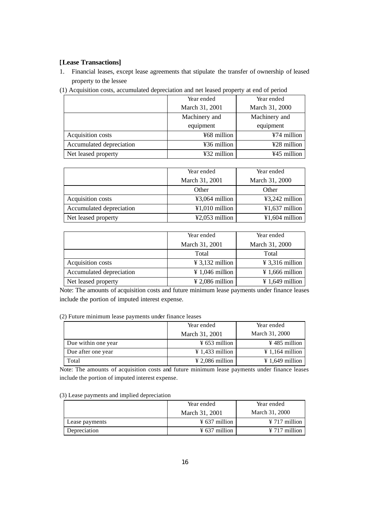## **[ Lease Transactions]**

1. Financial leases, except lease agreements that stipulate the transfer of ownership of leased property to the lessee

|  | (1) Acquisition costs, accumulated depreciation and net leased property at end of period |  |  |  |  |
|--|------------------------------------------------------------------------------------------|--|--|--|--|
|  |                                                                                          |  |  |  |  |

|                          | Year ended     | Year ended     |
|--------------------------|----------------|----------------|
|                          | March 31, 2001 | March 31, 2000 |
|                          | Machinery and  | Machinery and  |
|                          | equipment      | equipment      |
| Acquisition costs        | ¥68 million    | $¥74$ million  |
| Accumulated depreciation | ¥36 million    | ¥28 million    |
| Net leased property      | ¥32 million    | ¥45 million    |

|                          | Year ended               | Year ended       |
|--------------------------|--------------------------|------------------|
|                          | March 31, 2001           | March 31, 2000   |
|                          | Other                    | Other            |
| Acquisition costs        | $43,064$ million         | $43,242$ million |
| Accumulated depreciation | $\text{\#1,010}$ million | $¥1,637$ million |
| Net leased property      | $42,053$ million         | $¥1,604$ million |

|                          | Year ended                  | Year ended                  |
|--------------------------|-----------------------------|-----------------------------|
|                          | March 31, 2001              | March 31, 2000              |
|                          | Total                       | Total                       |
| Acquisition costs        | $\frac{1}{2}$ 3,132 million | $\frac{1}{2}$ 3,316 million |
| Accumulated depreciation | $\frac{1}{2}$ 1,046 million | $\frac{1}{2}$ 1,666 million |
| Net leased property      | $\frac{1}{2}$ 2,086 million | $\frac{1}{2}$ 1,649 million |

Note: The amounts of acquisition costs and future minimum lease payments under finance leases include the portion of imputed interest expense.

(2) Future minimum lease payments under finance leases

|                     | Year ended                  | Year ended                  |
|---------------------|-----------------------------|-----------------------------|
|                     | March 31, 2001              | March 31, 2000              |
| Due within one year | $\frac{1}{2}$ 653 million   | $\frac{1}{2}$ 485 million   |
| Due after one year  | $\frac{1}{2}$ 1,433 million | $\frac{1}{2}$ 1,164 million |
| Total               | $\frac{1}{2}$ 2,086 million | $\frac{1}{2}$ 1,649 million |

Note: The amounts of acquisition costs and future minimum lease payments under finance leases include the portion of imputed interest expense.

| (3) Lease payments and implied depreciation |  |  |  |  |  |
|---------------------------------------------|--|--|--|--|--|
|---------------------------------------------|--|--|--|--|--|

|                | Year ended                | Year ended                |
|----------------|---------------------------|---------------------------|
|                | March 31, 2001            | March 31, 2000            |
| Lease payments | $\frac{1}{2}$ 637 million | $\frac{1}{2}$ 717 million |
| Depreciation   | $\frac{1}{2}$ 637 million | $\frac{1}{2}$ 717 million |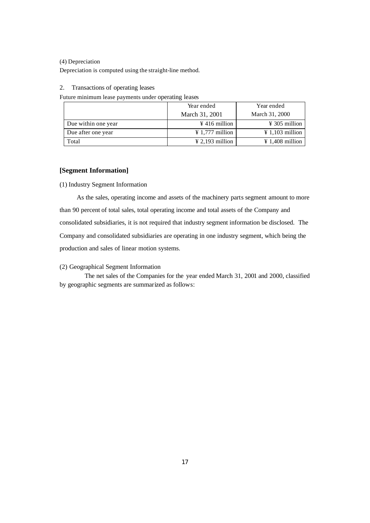#### (4) Depreciation

Depreciation is computed using the straight-line method.

### 2. Transactions of operating leases

Future minimum lease payments under operating leases

|                     | Year ended                  | Year ended                  |
|---------------------|-----------------------------|-----------------------------|
|                     | March 31, 2001              | March 31, 2000              |
| Due within one year | $\frac{1}{2}$ 416 million   | $\frac{1}{2}$ 305 million   |
| Due after one year  | $\frac{1}{2}$ 1,777 million | $\frac{1}{2}$ 1,103 million |
| Total               | $\frac{1}{2}$ 2,193 million | $\frac{1}{2}$ 1,408 million |

## **[Segment Information]**

(1) Industry Segment Information

As the sales, operating income and assets of the machinery parts segment amount to more than 90 percent of total sales, total operating income and total assets of the Company and consolidated subsidiaries, it is not required that industry segment information be disclosed. The Company and consolidated subsidiaries are operating in one industry segment, which being the production and sales of linear motion systems.

(2) Geographical Segment Information

The net sales of the Companies for the year ended March 31, 2001 and 2000, classified by geographic segments are summarized as follows: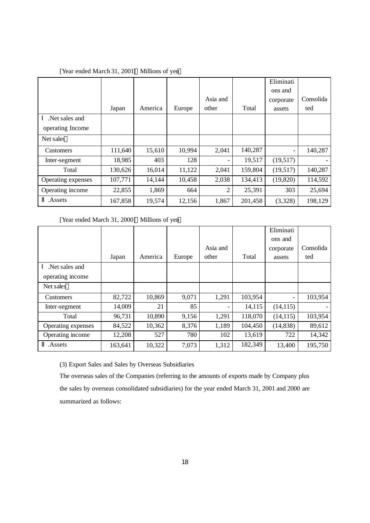|                    |         |         |        |                |         | Eliminati                    |           |
|--------------------|---------|---------|--------|----------------|---------|------------------------------|-----------|
|                    |         |         |        |                |         | ons and                      |           |
|                    |         |         |        | Asia and       |         | corporate                    | Consolida |
|                    | Japan   | America | Europe | other          | Total   | assets                       | ted       |
| Net sales and      |         |         |        |                |         |                              |           |
| operating Income   |         |         |        |                |         |                              |           |
| Net sales          |         |         |        |                |         |                              |           |
| <b>Customers</b>   | 111,640 | 15,610  | 10,994 | 2,041          | 140,287 | $\qquad \qquad \blacksquare$ | 140,287   |
| Inter-segment      | 18,985  | 403     | 128    |                | 19,517  | (19,517)                     |           |
| Total              | 130,626 | 16,014  | 11,122 | 2,041          | 159,804 | (19,517)                     | 140,287   |
| Operating expenses | 107,771 | 14,144  | 10,458 | 2,038          | 134,413 | (19, 820)                    | 114,592   |
| Operating income   | 22,855  | 1,869   | 664    | $\overline{2}$ | 25,391  | 303                          | 25,694    |
| Assets.            | 167,858 | 19,574  | 12,156 | 1,867          | 201,458 | (3,328)                      | 198,129   |

## [Year ended March 31, 2001] Millions of yen

[Year ended March 31, 2000] Millions of yen

|                    |         |         |        |          |         | Eliminati |           |
|--------------------|---------|---------|--------|----------|---------|-----------|-----------|
|                    |         |         |        |          |         | ons and   |           |
|                    |         |         |        | Asia and |         | corporate | Consolida |
|                    | Japan   | America | Europe | other    | Total   | assets    | ted       |
| Net sales and      |         |         |        |          |         |           |           |
| operating income   |         |         |        |          |         |           |           |
| Net sales          |         |         |        |          |         |           |           |
| <b>Customers</b>   | 82,722  | 10,869  | 9,071  | 1,291    | 103,954 |           | 103,954   |
| Inter-segment      | 14,009  | 21      | 85     |          | 14,115  | (14, 115) |           |
| Total              | 96,731  | 10,890  | 9,156  | 1,291    | 118,070 | (14, 115) | 103,954   |
| Operating expenses | 84,522  | 10,362  | 8,376  | 1,189    | 104,450 | (14, 838) | 89,612    |
| Operating income   | 12,208  | 527     | 780    | 102      | 13,619  | 722       | 14,342    |
| Assets.            | 163,641 | 10,322  | 7,073  | 1,312    | 182,349 | 13,400    | 195,750   |

(3) Export Sales and Sales by Overseas Subsidiaries

The overseas sales of the Companies (referring to the amounts of exports made by Company plus the sales by overseas consolidated subsidiaries) for the year ended March 31, 2001 and 2000 are summarized as follows: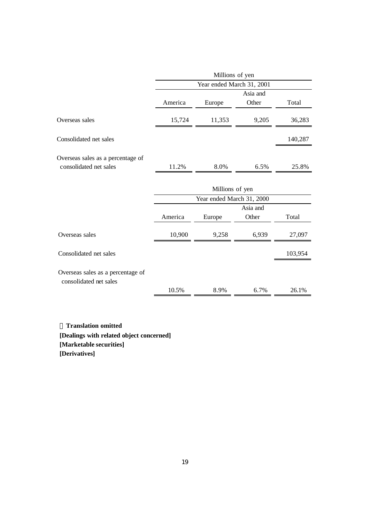|                                                             |         | Millions of yen           |          |         |  |  |  |
|-------------------------------------------------------------|---------|---------------------------|----------|---------|--|--|--|
|                                                             |         | Year ended March 31, 2001 |          |         |  |  |  |
|                                                             |         |                           | Asia and |         |  |  |  |
|                                                             | America | Europe                    | Other    | Total   |  |  |  |
| Overseas sales                                              | 15,724  | 11,353                    | 9,205    | 36,283  |  |  |  |
| Consolidated net sales                                      |         |                           |          | 140,287 |  |  |  |
| Overseas sales as a percentage of                           |         |                           |          |         |  |  |  |
| consolidated net sales                                      | 11.2%   | 8.0%                      | 6.5%     | 25.8%   |  |  |  |
|                                                             |         |                           |          |         |  |  |  |
|                                                             |         | Millions of yen           |          |         |  |  |  |
|                                                             |         | Year ended March 31, 2000 |          |         |  |  |  |
|                                                             |         |                           | Asia and |         |  |  |  |
|                                                             | America | Europe                    | Other    | Total   |  |  |  |
| Overseas sales                                              | 10,900  | 9,258                     | 6,939    | 27,097  |  |  |  |
| Consolidated net sales                                      |         |                           |          | 103,954 |  |  |  |
| Overseas sales as a percentage of<br>consolidated net sales |         |                           |          |         |  |  |  |
|                                                             | 10.5%   | 8.9%                      | 6.7%     | 26.1%   |  |  |  |

**Translation omitted [Dealings with related object concerned] [Marketable securities] [Derivatives]**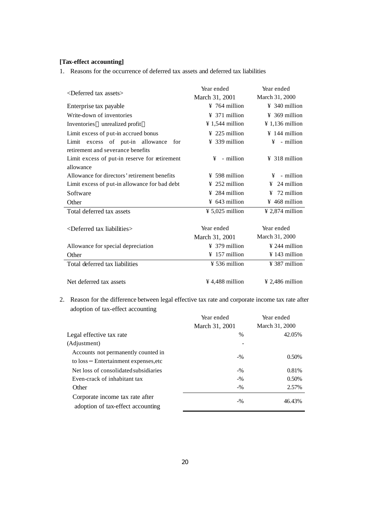## **[Tax-effect accounting]**

1. Reasons for the occurrence of deferred tax assets and deferred tax liabilities

| <deferred assets="" tax=""></deferred>        | Year ended                  | Year ended                  |  |
|-----------------------------------------------|-----------------------------|-----------------------------|--|
|                                               | March 31, 2001              | March 31, 2000              |  |
| Enterprise tax payable                        | $\frac{1}{2}$ 764 million   | $\frac{1}{2}$ 340 million   |  |
| Write-down of inventories                     | $\frac{1}{2}$ 371 million   | $\frac{1}{2}$ 369 million   |  |
| Inventories unrealized profit                 | $\frac{1}{2}$ 1,544 million | $\frac{1}{2}$ 1,136 million |  |
| Limit excess of put-in accrued bonus          | $\frac{1}{2}$ 225 million   | $\frac{1}{4}$ 144 million   |  |
| Limit excess of put-in allowance<br>for       | $\frac{1}{2}$ 339 million   | $\frac{1}{2}$ - million     |  |
| retirement and severance benefits             |                             |                             |  |
| Limit excess of put-in reserve for retirement | $\frac{1}{2}$ - million     | $\frac{1}{2}$ 318 million   |  |
| allowance                                     |                             |                             |  |
| Allowance for directors' retirement benefits  | $\frac{1}{2}$ 598 million   | $\frac{1}{2}$ - million     |  |
| Limit excess of put-in allowance for bad debt | $\frac{1}{2}$ 252 million   | $\frac{1}{2}$ 24 million    |  |
| Software                                      | $\frac{1}{2}$ 284 million   | $\frac{1}{2}$ 72 million    |  |
| Other                                         | $\frac{1}{2}$ 643 million   | $\frac{1}{2}$ 468 million   |  |
| Total deferred tax assets                     | $\frac{1}{2}$ 5,025 million | $\frac{1}{2}$ 2,874 million |  |
|                                               |                             |                             |  |
| $\leq$ Deferred tax liabilities $>$           | Year ended                  | Year ended                  |  |
|                                               | March 31, 2001              | March 31, 2000              |  |
| Allowance for special depreciation            | $\frac{1}{2}$ 379 million   | $\frac{1}{2}$ 244 million   |  |
| Other                                         | $\frac{157}{2}$ million     | $\frac{1}{2}$ 143 million   |  |
| Total deferred tax liabilities                | $\frac{1}{2}$ 536 million   | $\frac{1}{2}$ 387 million   |  |
|                                               |                             |                             |  |
| Net deferred tax assets                       | ¥4,488 million              | $¥$ 2,486 million           |  |

2. Reason for the difference between legal effective tax rate and corporate income tax rate after adoption of tax-effect accounting

|                                                                               | Year ended<br>March 31, 2001 | Year ended<br>March 31, 2000 |
|-------------------------------------------------------------------------------|------------------------------|------------------------------|
| Legal effective tax rate                                                      | $\%$                         | 42.05%                       |
| (Adjustment)                                                                  |                              |                              |
| Accounts not permanently counted in<br>Entertainment expenses, etc<br>to loss | $-9/0$                       | 0.50%                        |
| Net loss of consolidated subsidiaries                                         | $-9/0$                       | 0.81%                        |
| Even-crack of inhabitant tax                                                  | $-9/0$                       | 0.50%                        |
| Other                                                                         | $-9/0$                       | 2.57%                        |
| Corporate income tax rate after<br>adoption of tax-effect accounting          | $-9/0$                       | 46.43%                       |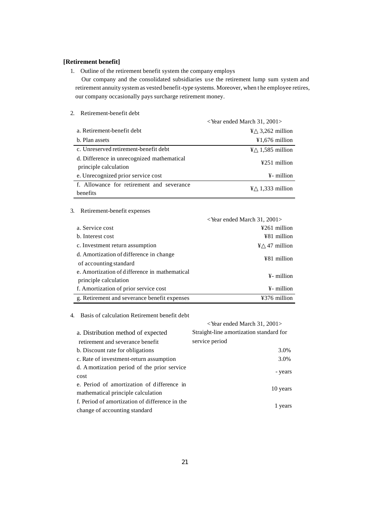## **[Retirement benefit]**

1. Outline of the retirement benefit system the company employs

Our company and the consolidated subsidiaries use the retirement lump sum system and retirement annuity system as vested benefit-type systems. Moreover, when t he employee retires, our company occasionally pays surcharge retirement money.

|                                                                     | $\epsilon$ Year ended March 31, 2001 $>$ |                  |
|---------------------------------------------------------------------|------------------------------------------|------------------|
| a. Retirement-benefit debt                                          | ¥                                        | 3,262 million    |
| b. Plan assets                                                      |                                          | $¥1,676$ million |
| c. Unreserved retirement-benefit debt                               | ¥                                        | 1,585 million    |
| d. Difference in unrecognized mathematical<br>principle calculation |                                          | $4251$ million   |
| e. Unrecognized prior service cost                                  |                                          | ¥- million       |
| f. Allowance for retirement and severance<br>benefits               | ¥                                        | 1,333 million    |

## 2. Retirement-benefit debt

#### 3. Retirement-benefit expenses

|                                               | <year 2001="" 31,="" ended="" march=""></year> |
|-----------------------------------------------|------------------------------------------------|
| a. Service cost                               | ¥261 million                                   |
| b. Interest cost                              | ¥81 million                                    |
| c. Investment return assumption               | 47 million<br>¥                                |
| d. Amortization of difference in change       | ¥81 million                                    |
| of accounting standard                        |                                                |
| e. Amortization of difference in mathematical | ¥- million                                     |
| principle calculation                         |                                                |
| f. Amortization of prior service cost         | ¥- million                                     |
| g. Retirement and severance benefit expenses  | ¥376 million                                   |

4. Basis of calculation Retirement benefit debt

|                                                                                  | $\leq$ Year ended March 31, 2001 $>$    |  |  |
|----------------------------------------------------------------------------------|-----------------------------------------|--|--|
| a. Distribution method of expected                                               | Straight-line amortization standard for |  |  |
| retirement and severance benefit                                                 | service period                          |  |  |
| b. Discount rate for obligations                                                 | 3.0%                                    |  |  |
| c. Rate of investment-return assumption                                          | 3.0%                                    |  |  |
| d. Amortization period of the prior service<br>cost                              | - years                                 |  |  |
| e. Period of amortization of difference in<br>mathematical principle calculation | 10 years                                |  |  |
| f. Period of amortization of difference in the<br>change of accounting standard  | 1 years                                 |  |  |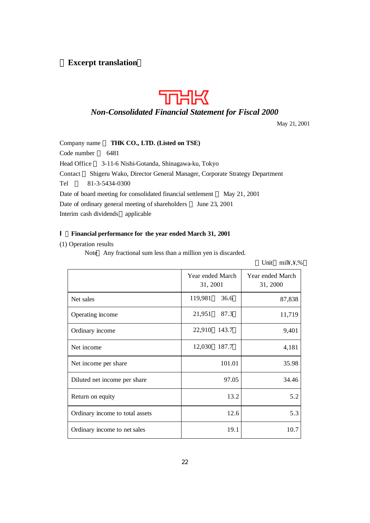## **Excerpt translation**



## *Non-Consolidated Financial Statement for Fiscal 2000*

May 21, 2001

Company name **THK CO., LTD. (Listed on TSE)** Code number 6481 Head Office 3-11-6 Nishi-Gotanda, Shinagawa-ku, Tokyo Contact Shigeru Wako, Director General Manager, Corporate Strategy Department Tel 81-3-5434-0300 Date of board meeting for consolidated financial settlement May 21, 2001 Date of ordinary general meeting of shareholders June 23, 2001 Interim cash dividends applicable

## Ⅰ.**Financial performance for the year ended March 31, 2001**

(1) Operation results

Note Any fractional sum less than a million yen is discarded.

|                                 |                              |        | Unit<br>$m$ i $\frac{1}{2}$ , $\frac{1}{2}$ ,% |  |
|---------------------------------|------------------------------|--------|------------------------------------------------|--|
|                                 | Year ended March<br>31, 2001 |        | Year ended March<br>31, 2000                   |  |
| Net sales                       | 119,981                      | 36.6   | 87,838                                         |  |
| Operating income                | 21,951                       | 87.3   | 11,719                                         |  |
| Ordinary income                 | 22,910                       | 143.7  | 9,401                                          |  |
| Net income                      | 12,030                       | 187.7  | 4,181                                          |  |
| Net income per share            |                              | 101.01 | 35.98                                          |  |
| Diluted net income per share    |                              | 97.05  | 34.46                                          |  |
| Return on equity                |                              | 13.2   | 5.2                                            |  |
| Ordinary income to total assets |                              | 12.6   | 5.3                                            |  |
| Ordinary income to net sales    |                              | 19.1   | 10.7                                           |  |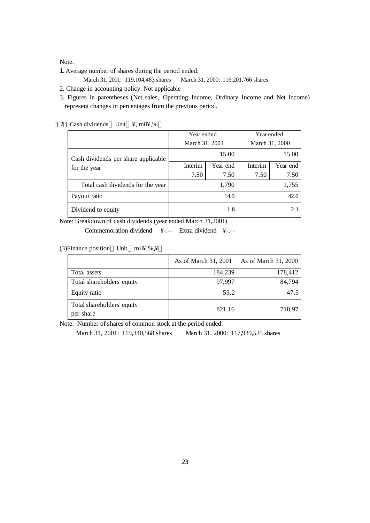Note:

1. Average number of shares during the period ended:

March 31, 2001: 119, 104, 483 shares March 31, 2000: 116, 201, 766 shares

2. Change in accounting policy: Not applicable

3. Figures in parentheses (Net sales, Operating Income, Ordinary Income and Net Income) represent changes in percentages from the previous period.

|                                                     | Year ended<br>March 31, 2001 |          | Year ended<br>March 31, 2000 |                  |     |
|-----------------------------------------------------|------------------------------|----------|------------------------------|------------------|-----|
| Cash dividends per share applicable<br>for the year |                              | 15.00    | 15.00                        |                  |     |
|                                                     | Interim                      | Year end | Interim<br>7.50              | Year end<br>7.50 |     |
| Total cash dividends for the year                   | 7.50<br>7.50<br>1,790        |          | 1,755                        |                  |     |
| Payout ratio                                        | 14.9                         |          | 42.0                         |                  |     |
| Dividend to equity                                  | 1.8                          |          |                              |                  | 2.1 |

2 Cash dividends Unit ¥, mil¥,%

Note: Breakdown of cash dividends (year ended March 31,2001)

Commemoration dividend ¥-.-- Extra dividend ¥-.--

(3) Finance position Unit mil¥, %, ¥

|                                         | As of March 31, 2001 | As of March 31, 2000 |
|-----------------------------------------|----------------------|----------------------|
| Total assets                            | 184,239              | 178,412              |
| Total shareholders' equity              | 97,997               | 84,794               |
| Equity ratio                            | 53.2                 | 47.5                 |
| Total shareholders' equity<br>per share | 821.16               | 718.97               |

Note: Number of shares of common stock at the period ended:

March 31, 2001: 119,340,568 shares March 31, 2000: 117,939,535 shares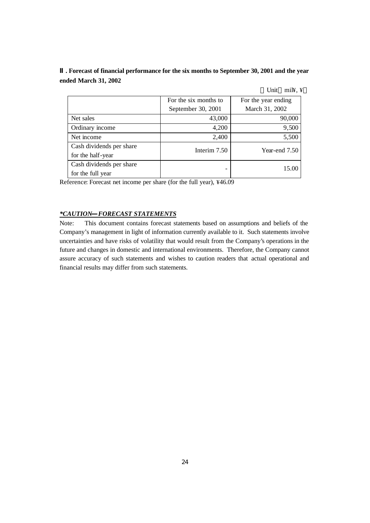**. Forecast of financial performance for the six months to September 30, 2001 and the year ended March 31, 2002**

|                          |                       | $m\n  i$<br>Unit    |
|--------------------------|-----------------------|---------------------|
|                          | For the six months to | For the year ending |
|                          | September 30, 2001    | March 31, 2002      |
| Net sales                | 43,000                | 90,000              |
| Ordinary income          | 4,200                 | 9,500               |
| Net income               | 2,400                 | 5,500               |
| Cash dividends per share | Interim 7.50          | Year-end 7.50       |
| for the half-year        |                       |                     |
| Cash dividends per share |                       | 15.00               |
| for the full year        |                       |                     |

Reference: Forecast net income per share (for the full year), ¥46.09

## *\*CAUTION FORECAST STATEMENTS*

Note: This document contains forecast statements based on assumptions and beliefs of the Company's management in light of information currently available to it. Such statements involve uncertainties and have risks of volatility that would result from the Company's operations in the future and changes in domestic and international environments. Therefore, the Company cannot assure accuracy of such statements and wishes to caution readers that actual operational and financial results may differ from such statements.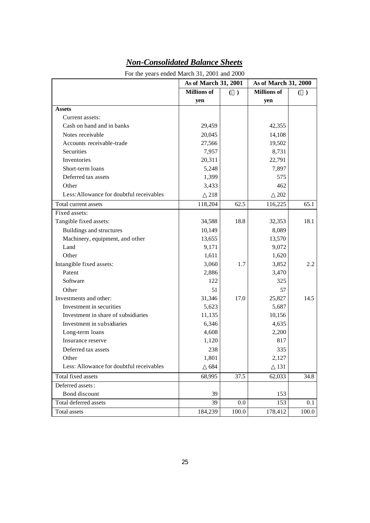|                                          | As of March 31, 2001 |                 | As of March 31, 2000 |       |
|------------------------------------------|----------------------|-----------------|----------------------|-------|
|                                          | <b>Millions</b> of   | €.<br>$\lambda$ | <b>Millions</b> of   | €     |
|                                          | yen                  |                 | yen                  |       |
| <b>Assets</b>                            |                      |                 |                      |       |
| Current assets:                          |                      |                 |                      |       |
| Cash on hand and in banks                | 29,459               |                 | 42,355               |       |
| Notes receivable                         | 20,045               |                 | 14,108               |       |
| Accounts receivable-trade                | 27,566               |                 | 19,502               |       |
| Securities                               | 7,957                |                 | 8,731                |       |
| Inventories                              | 20,311               |                 | 22,791               |       |
| Short-term loans                         | 5,248                |                 | 7,897                |       |
| Deferred tax assets                      | 1,399                |                 | 575                  |       |
| Other                                    | 3,433                |                 | 462                  |       |
| Less: Allowance for doubtful receivables | 218                  |                 | 202                  |       |
| Total current assets                     | 118,204              | 62.5            | 116,225              | 65.1  |
| Fixed assets:                            |                      |                 |                      |       |
| Tangible fixed assets:                   | 34,588               | 18.8            | 32,353               | 18.1  |
| Buildings and structures                 | 10,149               |                 | 8,089                |       |
| Machinery, equipment, and other          | 13,655               |                 | 13,570               |       |
| Land                                     | 9,171                |                 | 9,072                |       |
| Other                                    | 1,611                |                 | 1,620                |       |
| Intangible fixed assets:                 | 3,060                | 1.7             | 3,852                | 2.2   |
| Patent                                   | 2,886                |                 | 3,470                |       |
| Software                                 | 122                  |                 | 325                  |       |
| Other                                    | 51                   |                 | 57                   |       |
| Investments and other:                   | 31,346               | 17.0            | 25,827               | 14.5  |
| Investment in securities                 | 5,623                |                 | 5,687                |       |
| Investment in share of subsidiaries      | 11,135               |                 | 10,156               |       |
| Investment in subsidiaries               | 6,346                |                 | 4,635                |       |
| Long-term loans                          | 4,608                |                 | 2,200                |       |
| Insurance reserve                        | 1,120                |                 | 817                  |       |
| Deferred tax assets                      | 238                  |                 | 335                  |       |
| Other                                    | 1,801                |                 | 2,127                |       |
| Less: Allowance for doubtful receivables | 684                  |                 | 131                  |       |
| Total fixed assets                       | 68,995               | 37.5            | 62,033               | 34.8  |
| Deferred assets:                         |                      |                 |                      |       |
| Bond discount                            | 39                   |                 | 153                  |       |
| Total deferred assets                    | 39                   | 0.0             | 153                  | 0.1   |
| Total assets                             | 184,239              | 100.0           | 178,412              | 100.0 |

# *Non-Consolidated Balance Sheets*

For the years ended March 31, 2001 and 2000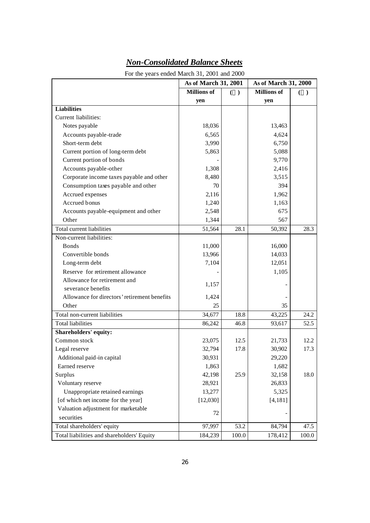| For the years ended March 31, 2001 and 2000  |                      |                |                      |       |  |
|----------------------------------------------|----------------------|----------------|----------------------|-------|--|
|                                              | As of March 31, 2001 |                | As of March 31, 2000 |       |  |
|                                              | <b>Millions</b> of   | €<br>$\lambda$ | <b>Millions</b> of   | €     |  |
|                                              | yen                  |                | yen                  |       |  |
| <b>Liabilities</b>                           |                      |                |                      |       |  |
| Current liabilities:                         |                      |                |                      |       |  |
| Notes payable                                | 18,036               |                | 13,463               |       |  |
| Accounts payable-trade                       | 6,565                |                | 4,624                |       |  |
| Short-term debt                              | 3,990                |                | 6,750                |       |  |
| Current portion of long-term debt            | 5,863                |                | 5,088                |       |  |
| Current portion of bonds                     |                      |                | 9,770                |       |  |
| Accounts payable-other                       | 1,308                |                | 2,416                |       |  |
| Corporate income taxes payable and other     | 8,480                |                | 3,515                |       |  |
| Consumption taxes payable and other          | 70                   |                | 394                  |       |  |
| Accrued expenses                             | 2,116                |                | 1,962                |       |  |
| Accrued bonus                                | 1,240                |                | 1,163                |       |  |
| Accounts payable-equipment and other         | 2,548                |                | 675                  |       |  |
| Other                                        | 1,344                |                | 567                  |       |  |
| Total current liabilities                    | 51,564               | 28.1           | 50,392               | 28.3  |  |
| Non-current liabilities:                     |                      |                |                      |       |  |
| <b>Bonds</b>                                 | 11,000               |                | 16,000               |       |  |
| Convertible bonds                            | 13,966               |                | 14,033               |       |  |
| Long-term debt                               | 7,104                |                | 12,051               |       |  |
| Reserve for retirement allowance             |                      |                | 1,105                |       |  |
| Allowance for retirement and                 |                      |                |                      |       |  |
| severance benefits                           | 1,157                |                |                      |       |  |
| Allowance for directors' retirement benefits | 1,424                |                |                      |       |  |
| Other                                        | 25                   |                | 35                   |       |  |
| Total non-current liabilities                | 34,677               | 18.8           | 43,225               | 24.2  |  |
| <b>Total liabilities</b>                     | 86,242               | 46.8           | 93,617               | 52.5  |  |
| Shareholders' equity:                        |                      |                |                      |       |  |
| Common stock                                 | 23,075               | 12.5           | 21,733               | 12.2  |  |
| Legal reserve                                | 32,794               | 17.8           | 30,902               | 17.3  |  |
| Additional paid-in capital                   | 30,931               |                | 29,220               |       |  |
| Earned reserve                               | 1,863                |                | 1,682                |       |  |
| Surplus                                      | 42,198               | 25.9           | 32,158               | 18.0  |  |
| Voluntary reserve                            | 28,921               |                | 26,833               |       |  |
| Unappropriate retained earnings              | 13,277               |                | 5,325                |       |  |
| [of which net income for the year]           | [12,030]             |                | [4, 181]             |       |  |
| Valuation adjustment for marketable          |                      |                |                      |       |  |
| securities                                   | 72                   |                |                      |       |  |
| Total shareholders' equity                   | 97,997               | 53.2           | 84,794               | 47.5  |  |
| Total liabilities and shareholders' Equity   | 184,239              | 100.0          | 178,412              | 100.0 |  |

# *Non-Consolidated Balance Sheets*

26